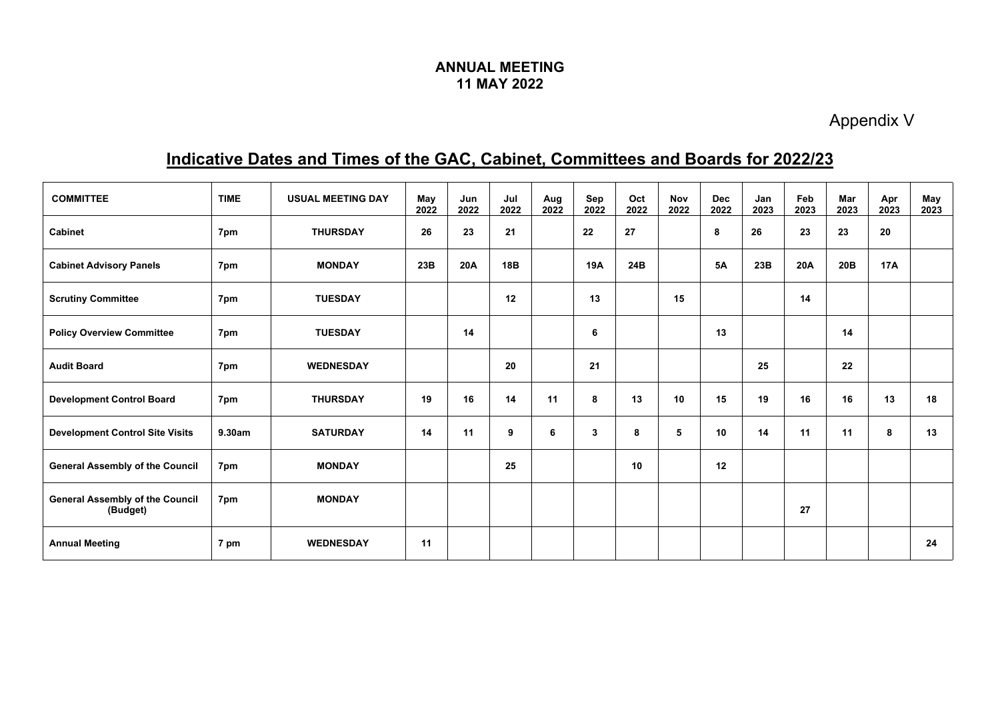## **ANNUAL MEETING 11 MAY 2022**

Appendix V

## **Indicative Dates and Times of the GAC, Cabinet, Committees and Boards for 2022/23**

| <b>COMMITTEE</b>                                   | <b>TIME</b> | <b>USUAL MEETING DAY</b> | May<br>2022 | Jun<br>2022 | Jul<br>2022 | Aug<br>2022 | Sep<br>2022 | Oct<br>2022 | <b>Nov</b><br>2022 | <b>Dec</b><br>2022 | Jan<br>2023 | Feb<br>2023 | Mar<br>2023 | Apr<br>2023 | May<br>2023 |
|----------------------------------------------------|-------------|--------------------------|-------------|-------------|-------------|-------------|-------------|-------------|--------------------|--------------------|-------------|-------------|-------------|-------------|-------------|
| <b>Cabinet</b>                                     | 7pm         | <b>THURSDAY</b>          | 26          | 23          | 21          |             | 22          | 27          |                    | 8                  | 26          | 23          | 23          | 20          |             |
| <b>Cabinet Advisory Panels</b>                     | 7pm         | <b>MONDAY</b>            | 23B         | 20A         | 18B         |             | 19A         | 24B         |                    | <b>5A</b>          | 23B         | 20A         | 20B         | 17A         |             |
| <b>Scrutiny Committee</b>                          | 7pm         | <b>TUESDAY</b>           |             |             | 12          |             | 13          |             | 15                 |                    |             | 14          |             |             |             |
| <b>Policy Overview Committee</b>                   | 7pm         | <b>TUESDAY</b>           |             | 14          |             |             | 6           |             |                    | 13                 |             |             | 14          |             |             |
| <b>Audit Board</b>                                 | 7pm         | <b>WEDNESDAY</b>         |             |             | 20          |             | 21          |             |                    |                    | 25          |             | 22          |             |             |
| <b>Development Control Board</b>                   | 7pm         | <b>THURSDAY</b>          | 19          | 16          | 14          | 11          | 8           | 13          | 10                 | 15                 | 19          | 16          | 16          | 13          | 18          |
| <b>Development Control Site Visits</b>             | 9.30am      | <b>SATURDAY</b>          | 14          | 11          | 9           | 6           | 3           | 8           | 5                  | 10                 | 14          | 11          | 11          | 8           | 13          |
| <b>General Assembly of the Council</b>             | 7pm         | <b>MONDAY</b>            |             |             | 25          |             |             | 10          |                    | 12                 |             |             |             |             |             |
| <b>General Assembly of the Council</b><br>(Budget) | 7pm         | <b>MONDAY</b>            |             |             |             |             |             |             |                    |                    |             | 27          |             |             |             |
| <b>Annual Meeting</b>                              | 7 pm        | <b>WEDNESDAY</b>         | 11          |             |             |             |             |             |                    |                    |             |             |             |             | 24          |